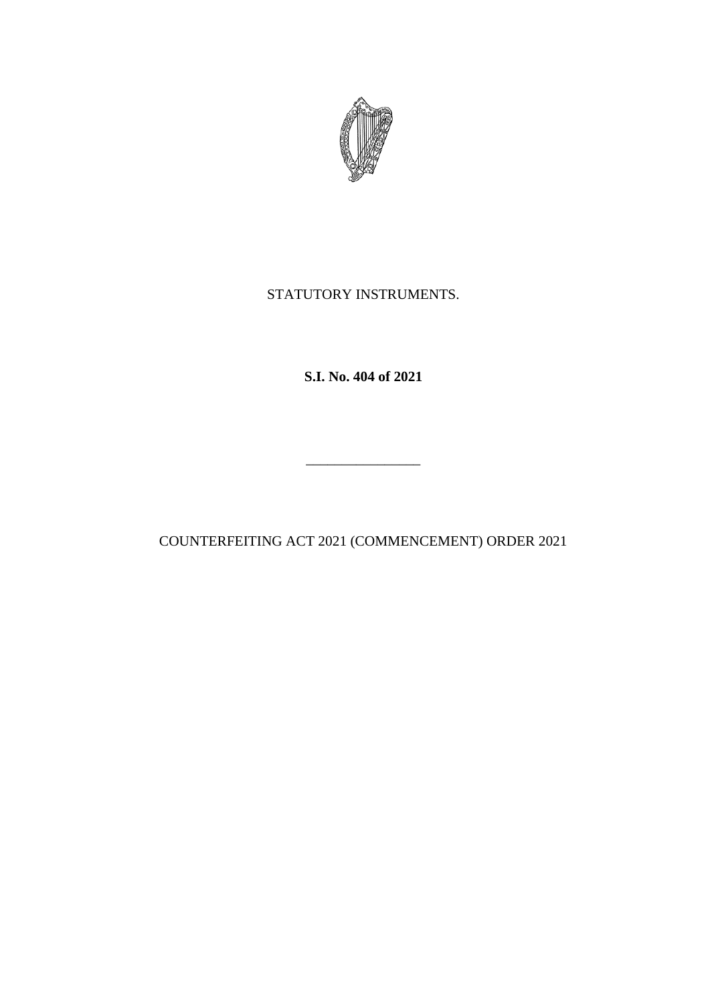

## STATUTORY INSTRUMENTS.

**S.I. No. 404 of 2021**

COUNTERFEITING ACT 2021 (COMMENCEMENT) ORDER 2021

\_\_\_\_\_\_\_\_\_\_\_\_\_\_\_\_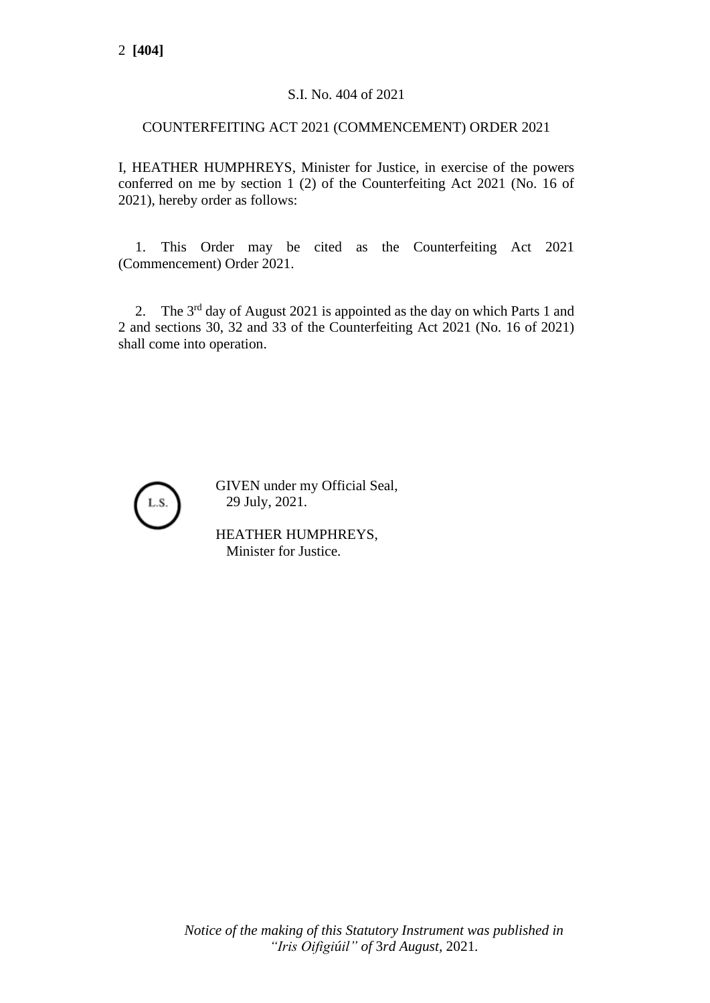## S.I. No. 404 of 2021

## COUNTERFEITING ACT 2021 (COMMENCEMENT) ORDER 2021

I, HEATHER HUMPHREYS, Minister for Justice, in exercise of the powers conferred on me by section 1 (2) of the Counterfeiting Act 2021 (No. 16 of 2021), hereby order as follows:

1. This Order may be cited as the Counterfeiting Act 2021 (Commencement) Order 2021.

2. The 3<sup>rd</sup> day of August 2021 is appointed as the day on which Parts 1 and 2 and sections 30, 32 and 33 of the Counterfeiting Act 2021 (No. 16 of 2021) shall come into operation.



GIVEN under my Official Seal, 29 July, 2021.

HEATHER HUMPHREYS, Minister for Justice.